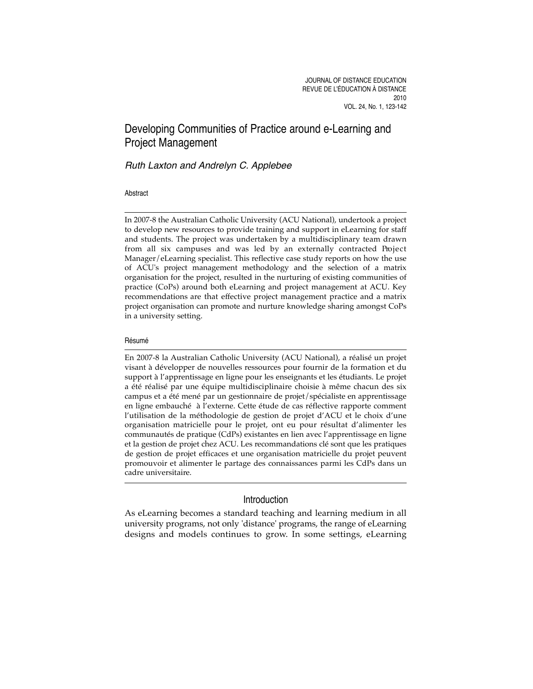# Developing Communities of Practice around e-Learning and Project Management

# Ruth Laxton and Andrelyn C. Applebee

#### Abstract

In 2007-8 the Australian Catholic University (ACU National), undertook a project to develop new resources to provide training and support in eLearning for staff and students. The project was undertaken by a multidisciplinary team drawn from all six campuses and was led by an externally contracted Project Manager/eLearning specialist. This reflective case study reports on how the use of ACU's project management methodology and the selection of a matrix organisation for the project, resulted in the nurturing of existing communities of practice (CoPs) around both eLearning and project management at ACU. Key recommendations are that effective project management practice and a matrix project organisation can promote and nurture knowledge sharing amongst CoPs in a university setting.

#### Résumé

En 2007-8 la Australian Catholic University (ACU National), a réalisé un projet visant à développer de nouvelles ressources pour fournir de la formation et du support à l'apprentissage en ligne pour les enseignants et les étudiants. Le projet a été réalisé par une équipe multidisciplinaire choisie à même chacun des six campus et a été mené par un gestionnaire de projet/spécialiste en apprentissage en ligne embauché à l'externe. Cette étude de cas réflective rapporte comment l'utilisation de la méthodologie de gestion de projet d'ACU et le choix d'une organisation matricielle pour le projet, ont eu pour résultat d'alimenter les communautés de pratique (CdPs) existantes en lien avec l'apprentissage en ligne et la gestion de projet chez ACU. Les recommandations clé sont que les pratiques de gestion de projet efficaces et une organisation matricielle du projet peuvent promouvoir et alimenter le partage des connaissances parmi les CdPs dans un cadre universitaire.

# Introduction

As eLearning becomes a standard teaching and learning medium in all university programs, not only 'distance' programs, the range of eLearning designs and models continues to grow. In some settings, eLearning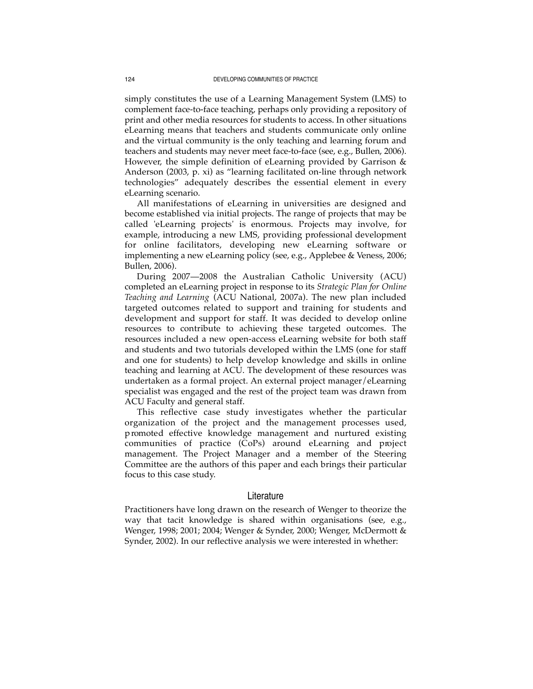simply constitutes the use of a Learning Management System (LMS) to complement face-to-face teaching, perhaps only providing a repository of print and other media resources for students to access. In other situations eLearning means that teachers and students communicate only online and the virtual community is the only teaching and learning forum and teachers and students may never meet face-to-face (see, e.g., Bullen, 2006). However, the simple definition of eLearning provided by Garrison & Anderson (2003, p. xi) as "learning facilitated on-line through network technologies" adequately describes the essential element in every eLearning scenario.

All manifestations of eLearning in universities are designed and become established via initial projects. The range of projects that may be called 'eLearning projects' is enormous. Projects may involve, for example, introducing a new LMS, providing professional development for online facilitators, developing new eLearning software or implementing a new eLearning policy (see, e.g., Applebee & Veness, 2006; Bullen, 2006).

During 2007—2008 the Australian Catholic University (ACU) completed an eLearning project in response to its *Strategic Plan for Online Teaching and Learning* (ACU National, 2007a). The new plan included targeted outcomes related to support and training for students and development and support for staff. It was decided to develop online resources to contribute to achieving these targeted outcomes. The resources included a new open-access eLearning website for both staff and students and two tutorials developed within the LMS (one for staff and one for students) to help develop knowledge and skills in online teaching and learning at ACU. The development of these resources was undertaken as a formal project. An external project manager/eLearning specialist was engaged and the rest of the project team was drawn from ACU Faculty and general staff.

This reflective case study investigates whether the particular organization of the project and the management processes used, p romoted effective knowledge management and nurtured existing communities of practice (CoPs) around eLearning and project management. The Project Manager and a member of the Steering Committee are the authors of this paper and each brings their particular focus to this case study.

#### Literature

Practitioners have long drawn on the research of Wenger to theorize the way that tacit knowledge is shared within organisations (see, e.g., Wenger, 1998; 2001; 2004; Wenger & Synder, 2000; Wenger, McDermott & Synder, 2002). In our reflective analysis we were interested in whether: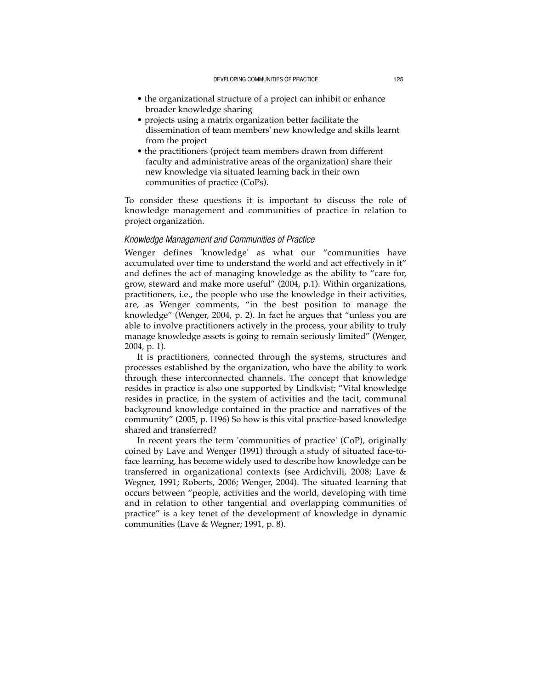- the organizational structure of a project can inhibit or enhance broader knowledge sharing
- projects using a matrix organization better facilitate the dissemination of team members' new knowledge and skills learnt from the project
- the practitioners (project team members drawn from different faculty and administrative areas of the organization) share their new knowledge via situated learning back in their own communities of practice (CoPs).

To consider these questions it is important to discuss the role of knowledge management and communities of practice in relation to project organization.

### *Knowledge Management and Communities of Practice*

Wenger defines 'knowledge' as what our "communities have accumulated over time to understand the world and act effectively in it" and defines the act of managing knowledge as the ability to "care for, grow, steward and make more useful" (2004, p.1). Within organizations, practitioners, i.e., the people who use the knowledge in their activities, are, as Wenger comments, "in the best position to manage the knowledge" (Wenger, 2004, p. 2). In fact he argues that "unless you are able to involve practitioners actively in the process, your ability to truly manage knowledge assets is going to remain seriously limited" (Wenger, 2004, p. 1).

It is practitioners, connected through the systems, structures and processes established by the organization, who have the ability to work through these interconnected channels. The concept that knowledge resides in practice is also one supported by Lindkvist; "Vital knowledge resides in practice, in the system of activities and the tacit, communal background knowledge contained in the practice and narratives of the community" (2005, p. 1196) So how is this vital practice-based knowledge shared and transferred?

In recent years the term 'communities of practice' (CoP), originally coined by Lave and Wenger (1991) through a study of situated face-toface learning, has become widely used to describe how knowledge can be transferred in organizational contexts (see Ardichvili, 2008; Lave & Wegner, 1991; Roberts, 2006; Wenger, 2004). The situated learning that occurs between "people, activities and the world, developing with time and in relation to other tangential and overlapping communities of practice" is a key tenet of the development of knowledge in dynamic communities (Lave & Wegner; 1991, p. 8).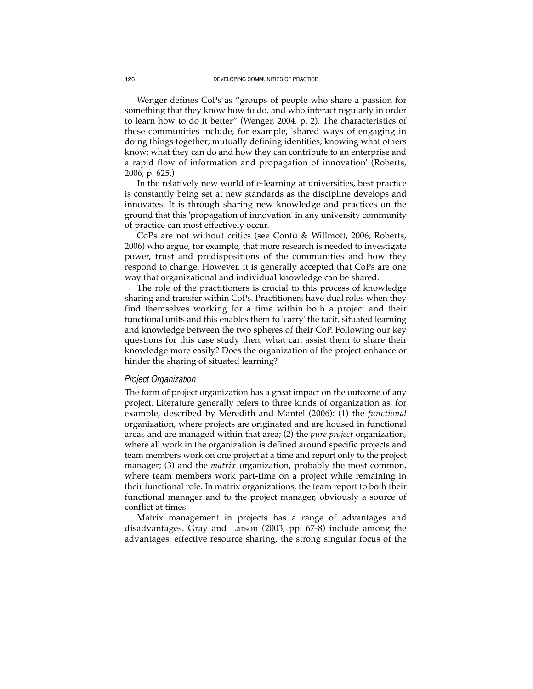Wenger defines CoPs as "groups of people who share a passion for something that they know how to do, and who interact regularly in order to learn how to do it better" (Wenger, 2004, p. 2). The characteristics of these communities include, for example, 'shared ways of engaging in doing things together; mutually defining identities; knowing what others know; what they can do and how they can contribute to an enterprise and a rapid flow of information and propagation of innovation' (Roberts, 2006, p. 625.)

In the relatively new world of e-learning at universities, best practice is constantly being set at new standards as the discipline develops and innovates. It is through sharing new knowledge and practices on the ground that this 'propagation of innovation' in any university community of practice can most effectively occur.

CoPs are not without critics (see Contu & Willmott, 2006; Roberts, 2006) who argue, for example, that more research is needed to investigate power, trust and predispositions of the communities and how they respond to change. However, it is generally accepted that CoPs are one way that organizational and individual knowledge can be shared.

The role of the practitioners is crucial to this process of knowledge sharing and transfer within CoPs. Practitioners have dual roles when they find themselves working for a time within both a project and their functional units and this enables them to 'carry' the tacit, situated learning and knowledge between the two spheres of their CoP. Following our key questions for this case study then, what can assist them to share their knowledge more easily? Does the organization of the project enhance or hinder the sharing of situated learning?

#### *Project Organization*

The form of project organization has a great impact on the outcome of any project. Literature generally refers to three kinds of organization as, for example, described by Meredith and Mantel (2006): (1) the *functional* organization, where projects are originated and are housed in functional areas and are managed within that area; (2) the *pure project* organization, where all work in the organization is defined around specific projects and team members work on one project at a time and report only to the project manager; (3) and the *matrix* organization, probably the most common, where team members work part-time on a project while remaining in their functional role. In matrix organizations, the team report to both their functional manager and to the project manager, obviously a source of conflict at times.

Matrix management in projects has a range of advantages and disadvantages. Gray and Larson (2003, pp. 67-8) include among the advantages: effective resource sharing, the strong singular focus of the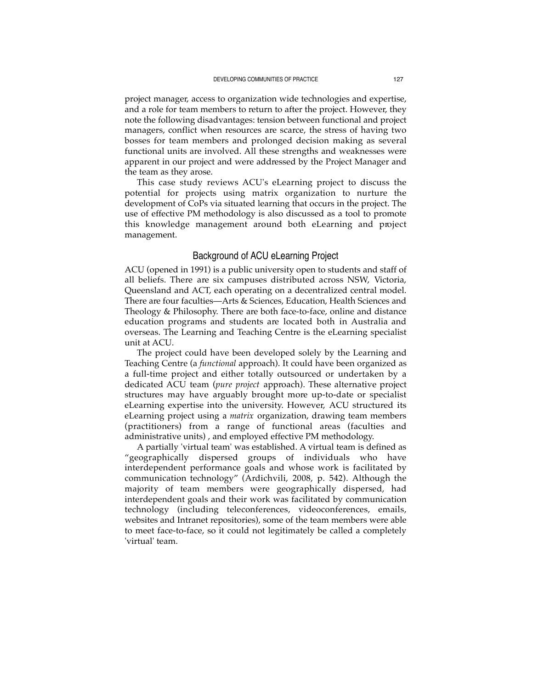project manager, access to organization wide technologies and expertise, and a role for team members to return to after the project. However, they note the following disadvantages: tension between functional and project managers, conflict when resources are scarce, the stress of having two bosses for team members and prolonged decision making as several functional units are involved. All these strengths and weaknesses were apparent in our project and were addressed by the Project Manager and the team as they arose.

This case study reviews ACU's eLearning project to discuss the potential for projects using matrix organization to nurture the development of CoPs via situated learning that occurs in the project. The use of effective PM methodology is also discussed as a tool to promote this knowledge management around both eLearning and project management.

# Background of ACU eLearning Project

ACU (opened in 1991) is a public university open to students and staff of all beliefs. There are six campuses distributed across NSW, Victoria, Queensland and ACT, each operating on a decentralized central model. There are four faculties—Arts & Sciences, Education, Health Sciences and Theology & Philosophy. There are both face-to-face, online and distance education programs and students are located both in Australia and overseas. The Learning and Teaching Centre is the eLearning specialist unit at ACU.

The project could have been developed solely by the Learning and Teaching Centre (a *functional* approach). It could have been organized as a full-time project and either totally outsourced or undertaken by a dedicated ACU team (*pure project* approach). These alternative project structures may have arguably brought more up-to-date or specialist eLearning expertise into the university. However, ACU structured its eLearning project using a *matrix* organization, drawing team members (practitioners) from a range of functional areas (faculties and administrative units) , and employed effective PM methodology.

A partially 'virtual team' was established. A virtual team is defined as "geographically dispersed groups of individuals who have interdependent performance goals and whose work is facilitated by communication technology" (Ardichvili, 2008, p. 542). Although the majority of team members were geographically dispersed, had interdependent goals and their work was facilitated by communication technology (including teleconferences, videoconferences, emails, websites and Intranet repositories), some of the team members were able to meet face-to-face, so it could not legitimately be called a completely 'virtual' team.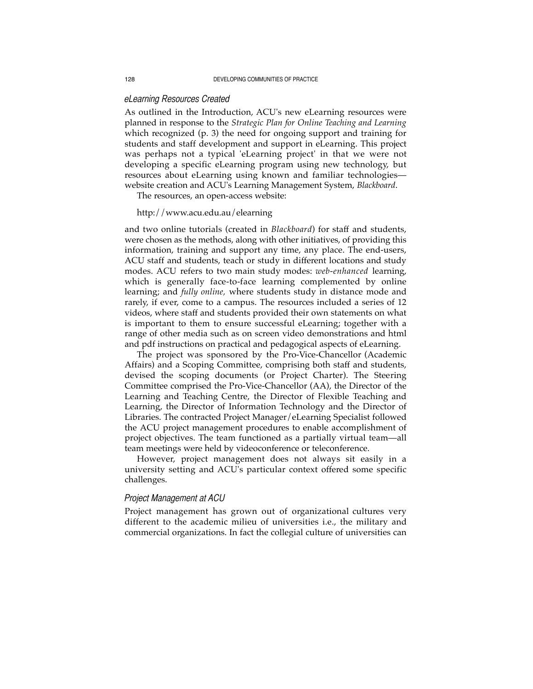# *eLearning Resources Created*

As outlined in the Introduction, ACU's new eLearning resources were planned in response to the *Strategic Plan for Online Teaching and Learning* which recognized (p. 3) the need for ongoing support and training for students and staff development and support in eLearning. This project was perhaps not a typical 'eLearning project' in that we were not developing a specific eLearning program using new technology, but resources about eLearning using known and familiar technologies website creation and ACU's Learning Management System, *Blackboard*.

The resources, an open-access website:

#### http://www.acu.edu.au/elearning

and two online tutorials (created in *Blackboard*) for staff and students, were chosen as the methods, along with other initiatives, of providing this information, training and support any time, any place. The end-users, ACU staff and students, teach or study in different locations and study modes. ACU refers to two main study modes: *web-enhanced* learning, which is generally face-to-face learning complemented by online learning; and *fully online,* where students study in distance mode and rarely, if ever, come to a campus. The resources included a series of 12 videos, where staff and students provided their own statements on what is important to them to ensure successful eLearning; together with a range of other media such as on screen video demonstrations and html and pdf instructions on practical and pedagogical aspects of eLearning.

The project was sponsored by the Pro-Vice-Chancellor (Academic Affairs) and a Scoping Committee, comprising both staff and students, devised the scoping documents (or Project Charter). The Steering Committee comprised the Pro-Vice-Chancellor (AA), the Director of the Learning and Teaching Centre, the Director of Flexible Teaching and Learning, the Director of Information Technology and the Director of Libraries. The contracted Project Manager/eLearning Specialist followed the ACU project management procedures to enable accomplishment of project objectives. The team functioned as a partially virtual team—all team meetings were held by videoconference or teleconference.

However, project management does not always sit easily in a university setting and ACU's particular context offered some specific challenges.

# *Project Management at ACU*

Project management has grown out of organizational cultures very different to the academic milieu of universities i.e., the military and commercial organizations. In fact the collegial culture of universities can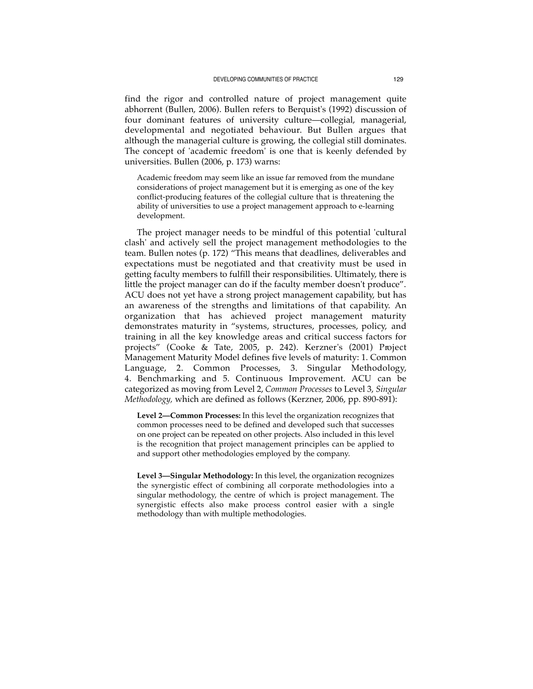find the rigor and controlled nature of project management quite abhorrent (Bullen, 2006). Bullen refers to Berquist's (1992) discussion of four dominant features of university culture—collegial, managerial, developmental and negotiated behaviour. But Bullen argues that although the managerial culture is growing, the collegial still dominates. The concept of 'academic freedom' is one that is keenly defended by universities. Bullen (2006, p. 173) warns:

Academic freedom may seem like an issue far removed from the mundane considerations of project management but it is emerging as one of the key conflict-producing features of the collegial culture that is threatening the ability of universities to use a project management approach to e-learning development.

The project manager needs to be mindful of this potential 'cultural clash' and actively sell the project management methodologies to the team. Bullen notes (p. 172) "This means that deadlines, deliverables and expectations must be negotiated and that creativity must be used in getting faculty members to fulfill their responsibilities. Ultimately, there is little the project manager can do if the faculty member doesn't produce". ACU does not yet have a strong project management capability, but has an awareness of the strengths and limitations of that capability. An organization that has achieved project management maturity demonstrates maturity in "systems, structures, processes, policy, and training in all the key knowledge areas and critical success factors for projects" (Cooke & Tate, 2005, p. 242). Kerzner's (2001) Project Management Maturity Model defines five levels of maturity: 1. Common Language, 2. Common Processes, 3. Singular Methodology, 4. Benchmarking and 5. Continuous Improvement. ACU can be categorized as moving from Level 2, *Common Processes* to Level 3, *Singular Methodology,* which are defined as follows (Kerzner, 2006, pp. 890-891):

**Level 2—Common Processes:** In this level the organization recognizes that common processes need to be defined and developed such that successes on one project can be repeated on other projects. Also included in this level is the recognition that project management principles can be applied to and support other methodologies employed by the company.

**Level 3—Singular Methodology:** In this level, the organization recognizes the synergistic effect of combining all corporate methodologies into a singular methodology, the centre of which is project management. The synergistic effects also make process control easier with a single methodology than with multiple methodologies.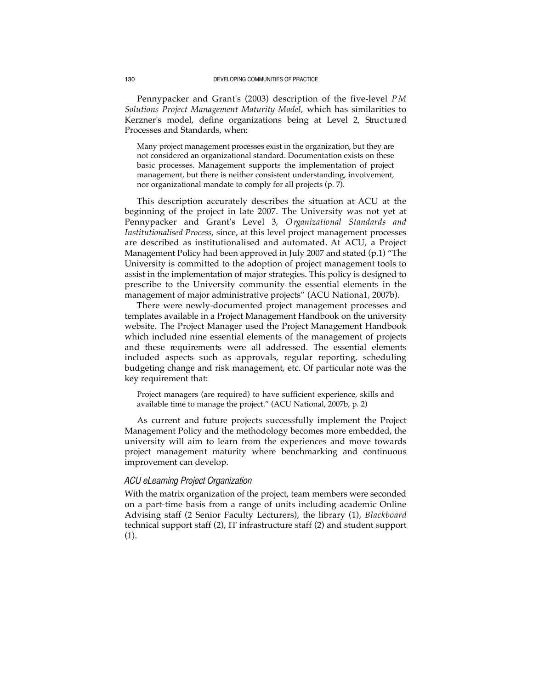Pennypacker and Grant's (2003) description of the five-level *P M Solutions Project Management Maturity Model,* which has similarities to Kerzner's model, define organizations being at Level 2, Structured Processes and Standards, when:

Many project management processes exist in the organization, but they are not considered an organizational standard. Documentation exists on these basic processes. Management supports the implementation of project management, but there is neither consistent understanding, involvement, nor organizational mandate to comply for all projects (p. 7).

This description accurately describes the situation at ACU at the beginning of the project in late 2007. The University was not yet at Pennypacker and Grant's Level 3, *O rganizational Standards and Institutionalised Process,* since, at this level project management processes are described as institutionalised and automated. At ACU, a Project Management Policy had been approved in July 2007 and stated (p.1) "The University is committed to the adoption of project management tools to assist in the implementation of major strategies. This policy is designed to prescribe to the University community the essential elements in the management of major administrative projects" (ACU Nationa1, 2007b).

There were newly-documented project management processes and templates available in a Project Management Handbook on the university website. The Project Manager used the Project Management Handbook which included nine essential elements of the management of projects and these requirements were all addressed. The essential elements included aspects such as approvals, regular reporting, scheduling budgeting change and risk management, etc. Of particular note was the key requirement that:

Project managers (are required) to have sufficient experience, skills and available time to manage the project." (ACU National, 2007b, p. 2)

As current and future projects successfully implement the Project Management Policy and the methodology becomes more embedded, the university will aim to learn from the experiences and move towards p roject management maturity where benchmarking and continuous improvement can develop.

# *ACU eLearning Project Organization*

With the matrix organization of the project, team members were seconded on a part-time basis from a range of units including academic Online Advising staff (2 Senior Faculty Lecturers), the library (1), *Blackboard* technical support staff (2), IT infrastructure staff (2) and student support (1).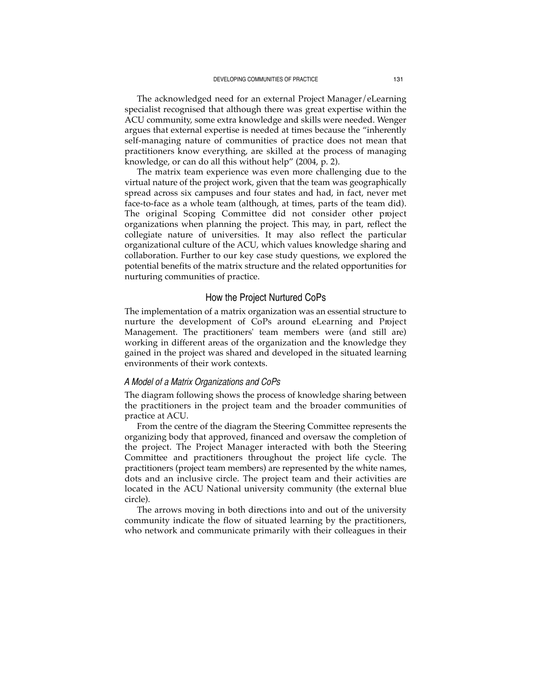The acknowledged need for an external Project Manager/eLearning specialist recognised that although there was great expertise within the ACU community, some extra knowledge and skills were needed. Wenger argues that external expertise is needed at times because the "inherently self-managing nature of communities of practice does not mean that practitioners know everything, are skilled at the process of managing knowledge, or can do all this without help" (2004, p. 2).

The matrix team experience was even more challenging due to the virtual nature of the project work, given that the team was geographically spread across six campuses and four states and had, in fact, never met face-to-face as a whole team (although, at times, parts of the team did). The original Scoping Committee did not consider other project organizations when planning the project. This may, in part, reflect the collegiate nature of universities. It may also reflect the particular organizational culture of the ACU, which values knowledge sharing and collaboration. Further to our key case study questions, we explored the potential benefits of the matrix structure and the related opportunities for nurturing communities of practice.

# How the Project Nurtured CoPs

The implementation of a matrix organization was an essential structure to nurture the development of CoPs around eLearning and Project Management. The practitioners' team members were (and still are) working in different areas of the organization and the knowledge they gained in the project was shared and developed in the situated learning environments of their work contexts.

# *A Model of a Matrix Organizations and CoPs*

The diagram following shows the process of knowledge sharing between the practitioners in the project team and the broader communities of practice at ACU.

From the centre of the diagram the Steering Committee represents the organizing body that approved, financed and oversaw the completion of the project. The Project Manager interacted with both the Steering Committee and practitioners throughout the project life cycle. The practitioners (project team members) are represented by the white names, dots and an inclusive circle. The project team and their activities are located in the ACU National university community (the external blue circle).

The arrows moving in both directions into and out of the university community indicate the flow of situated learning by the practitioners, who network and communicate primarily with their colleagues in their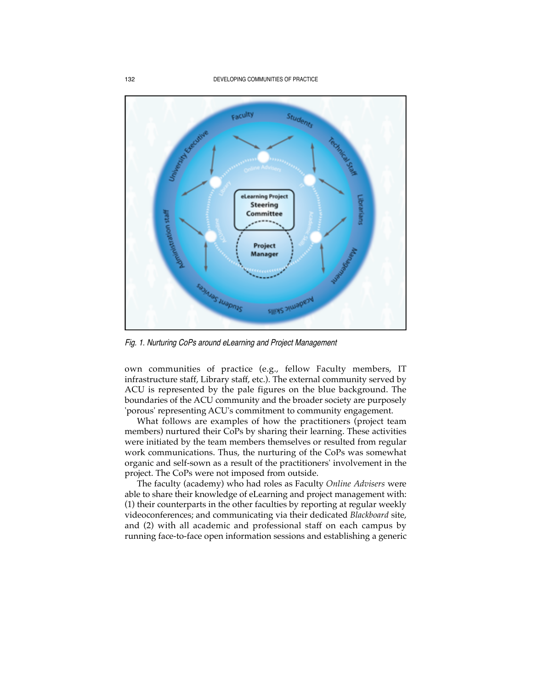

Fig. 1. Nurturing CoPs around eLearning and Project Management

own communities of practice (e.g., fellow Faculty members, IT infrastructure staff, Library staff, etc.). The external community served by ACU is represented by the pale figures on the blue background. The boundaries of the ACU community and the broader society are purposely 'porous' representing ACU's commitment to community engagement.

What follows are examples of how the practitioners (project team members) nurtured their CoPs by sharing their learning. These activities were initiated by the team members themselves or resulted from regular work communications. Thus, the nurturing of the CoPs was somewhat organic and self-sown as a result of the practitioners' involvement in the project. The CoPs were not imposed from outside.

The faculty (academy) who had roles as Faculty *Online Advisers* were able to share their knowledge of eLearning and project management with: (1) their counterparts in the other faculties by reporting at regular weekly videoconferences; and communicating via their dedicated *Blackboard* site, and (2) with all academic and professional staff on each campus by running face-to-face open information sessions and establishing a generic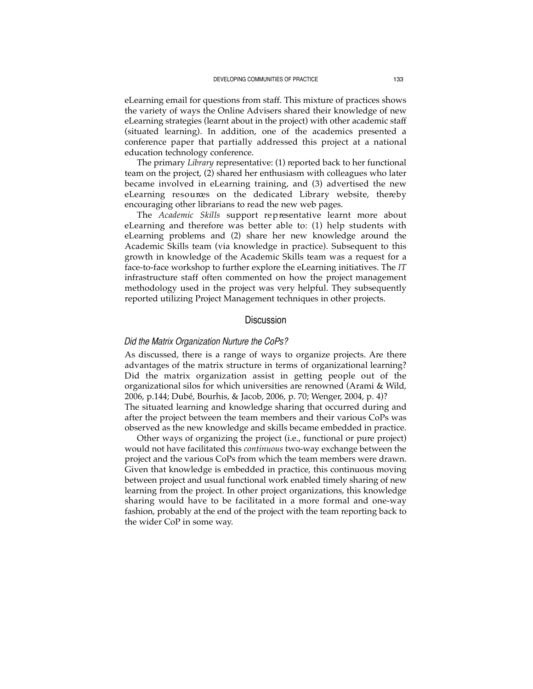eLearning email for questions from staff. This mixture of practices shows the variety of ways the Online Advisers shared their knowledge of new eLearning strategies (learnt about in the project) with other academic staff (situated learning). In addition, one of the academics presented a conference paper that partially addressed this project at a national education technology conference.

The primary *Library* representative: (1) reported back to her functional team on the project, (2) shared her enthusiasm with colleagues who later became involved in eLearning training, and (3) advertised the new eLearning resources on the dedicated Library website, thereby encouraging other librarians to read the new web pages.

The *Academic Skills* support representative learnt more about eLearning and therefore was better able to: (1) help students with eLearning problems and (2) share her new knowledge around the Academic Skills team (via knowledge in practice). Subsequent to this growth in knowledge of the Academic Skills team was a request for a face-to-face workshop to further explore the eLearning initiatives. The *IT* infrastructure staff often commented on how the project management methodology used in the project was very helpful. They subsequently reported utilizing Project Management techniques in other projects.

# **Discussion**

#### *Did the Matrix Organization Nurture the CoPs?*

As discussed, there is a range of ways to organize projects. Are there advantages of the matrix structure in terms of organizational learning? Did the matrix organization assist in getting people out of the organizational silos for which universities are renowned (Arami & Wild, 2006, p.144; Dubé, Bourhis, & Jacob, 2006, p. 70; Wenger, 2004, p. 4)? The situated learning and knowledge sharing that occurred during and after the project between the team members and their various CoPs was

observed as the new knowledge and skills became embedded in practice. Other ways of organizing the project (i.e., functional or pure project) would not have facilitated this *continuous* two-way exchange between the project and the various CoPs from which the team members were drawn. Given that knowledge is embedded in practice, this continuous moving between project and usual functional work enabled timely sharing of new learning from the project. In other project organizations, this knowledge sharing would have to be facilitated in a more formal and one-way fashion, probably at the end of the project with the team reporting back to the wider CoP in some way.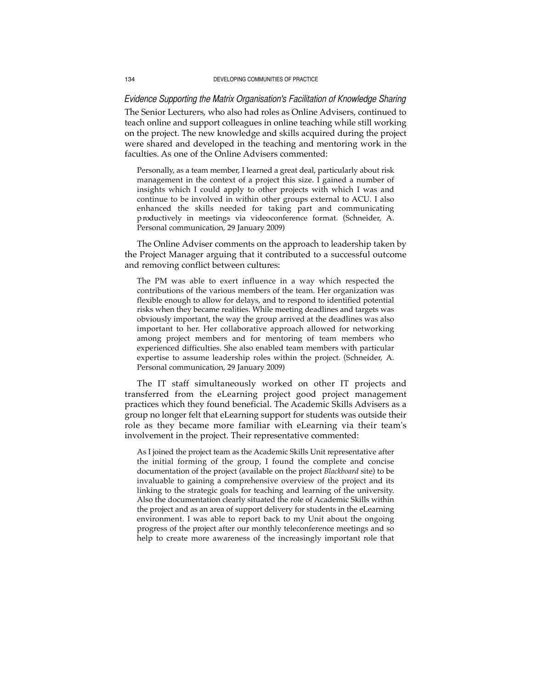# *Evidence Supporting the Matrix Organisation's Facilitation of Knowledge Sharing*

The Senior Lecturers, who also had roles as Online Advisers, continued to teach online and support colleagues in online teaching while still working on the project. The new knowledge and skills acquired during the project were shared and developed in the teaching and mentoring work in the faculties. As one of the Online Advisers commented:

Personally, as a team member, I learned a great deal, particularly about risk management in the context of a project this size. I gained a number of insights which I could apply to other projects with which I was and continue to be involved in within other groups external to ACU. I also enhanced the skills needed for taking part and communicating p roductively in meetings via videoconference format. (Schneider, A . Personal communication, 29 January 2009)

The Online Adviser comments on the approach to leadership taken by the Project Manager arguing that it contributed to a successful outcome and removing conflict between cultures:

The PM was able to exert influence in a way which respected the contributions of the various members of the team. Her organization was flexible enough to allow for delays, and to respond to identified potential risks when they became realities. While meeting deadlines and targets was obviously important, the way the group arrived at the deadlines was also important to her. Her collaborative approach allowed for networking among project members and for mentoring of team members who experienced difficulties. She also enabled team members with particular expertise to assume leadership roles within the project. (Schneider, A. Personal communication, 29 January 2009)

The IT staff simultaneously worked on other IT projects and transferred from the eLearning project good project management practices which they found beneficial. The Academic Skills Advisers as a group no longer felt that eLearning support for students was outside their role as they became more familiar with eLearning via their team's involvement in the project. Their representative commented:

As I joined the project team as the Academic Skills Unit representative after the initial forming of the group, I found the complete and concise documentation of the project (available on the project *Blackboard* site) to be invaluable to gaining a comprehensive overview of the project and its linking to the strategic goals for teaching and learning of the university. Also the documentation clearly situated the role of Academic Skills within the project and as an area of support delivery for students in the eLearning environment. I was able to report back to my Unit about the ongoing progress of the project after our monthly teleconference meetings and so help to create more awareness of the increasingly important role that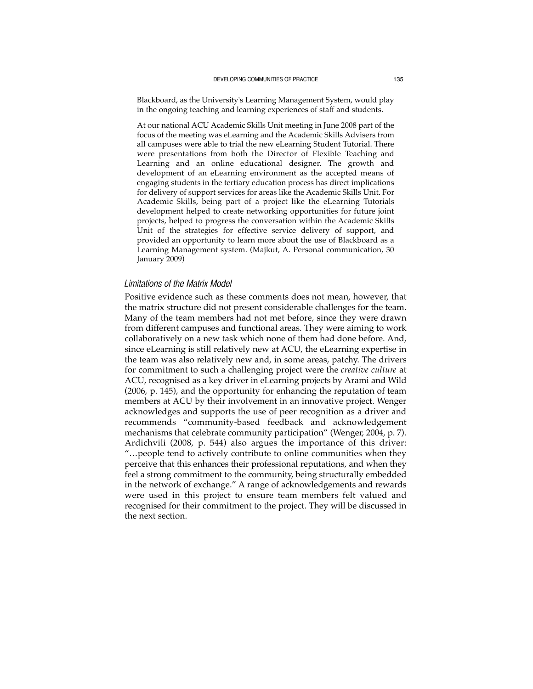Blackboard, as the University's Learning Management System, would play in the ongoing teaching and learning experiences of staff and students.

At our national ACU Academic Skills Unit meeting in June 2008 part of the focus of the meeting was eLearning and the Academic Skills Advisers from all campuses were able to trial the new eLearning Student Tutorial. There were presentations from both the Director of Flexible Teaching and Learning and an online educational designer. The growth and development of an eLearning environment as the accepted means of engaging students in the tertiary education process has direct implications for delivery of support services for areas like the Academic Skills Unit. For Academic Skills, being part of a project like the eLearning Tutorials development helped to create networking opportunities for future joint projects, helped to progress the conversation within the Academic Skills Unit of the strategies for effective service delivery of support, and provided an opportunity to learn more about the use of Blackboard as a Learning Management system. (Majkut, A. Personal communication, 30 January 2009)

### *Limitations of the Matrix Model*

Positive evidence such as these comments does not mean, however, that the matrix structure did not present considerable challenges for the team. Many of the team members had not met before, since they were drawn from different campuses and functional areas. They were aiming to work collaboratively on a new task which none of them had done before. And, since eLearning is still relatively new at ACU, the eLearning expertise in the team was also relatively new and, in some areas, patchy. The drivers for commitment to such a challenging project were the *creative culture* at ACU, recognised as a key driver in eLearning projects by Arami and Wild (2006, p. 145), and the opportunity for enhancing the reputation of team members at ACU by their involvement in an innovative project. Wenger acknowledges and supports the use of peer recognition as a driver and recommends "community-based feedback and acknowledgement mechanisms that celebrate community participation" (Wenger, 2004, p. 7). Ardichvili (2008, p. 544) also argues the importance of this driver: "…people tend to actively contribute to online communities when they perceive that this enhances their professional reputations, and when they feel a strong commitment to the community, being structurally embedded in the network of exchange." A range of acknowledgements and rewards were used in this project to ensure team members felt valued and recognised for their commitment to the project. They will be discussed in the next section.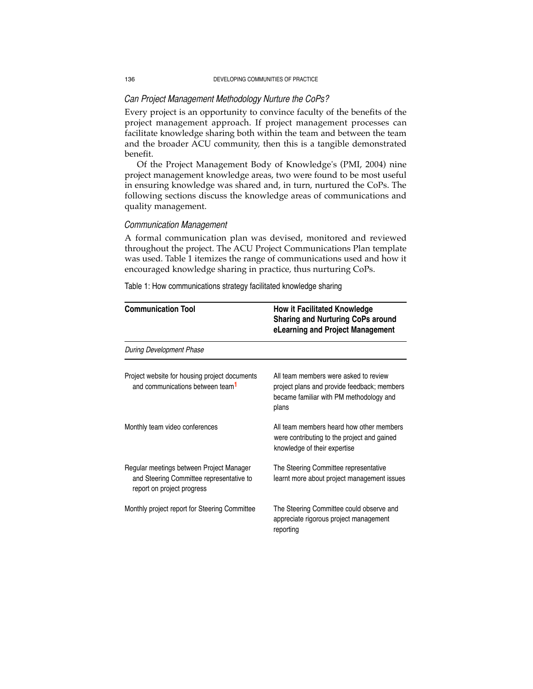### *Can Project Management Methodology Nurture the CoPs?*

Every project is an opportunity to convince faculty of the benefits of the project management approach. If project management processes can facilitate knowledge sharing both within the team and between the team and the broader ACU community, then this is a tangible demonstrated benefit.

Of the Project Management Body of Knowledge's (PMI, 2004) nine project management knowledge areas, two were found to be most useful in ensuring knowledge was shared and, in turn, nurtured the CoPs. The following sections discuss the knowledge areas of communications and quality management.

# *Communication Management*

A formal communication plan was devised, monitored and reviewed throughout the project. The ACU Project Communications Plan template was used. Table 1 itemizes the range of communications used and how it encouraged knowledge sharing in practice, thus nurturing CoPs.

Table 1: How communications strategy facilitated knowledge sharing

| <b>Communication Tool</b>                                                                                          | <b>How it Facilitated Knowledge</b><br><b>Sharing and Nurturing CoPs around</b><br>eLearning and Project Management                      |
|--------------------------------------------------------------------------------------------------------------------|------------------------------------------------------------------------------------------------------------------------------------------|
| During Development Phase                                                                                           |                                                                                                                                          |
| Project website for housing project documents<br>and communications between team <sup>1</sup>                      | All team members were asked to review<br>project plans and provide feedback; members<br>became familiar with PM methodology and<br>plans |
| Monthly team video conferences                                                                                     | All team members heard how other members<br>were contributing to the project and gained<br>knowledge of their expertise                  |
| Regular meetings between Project Manager<br>and Steering Committee representative to<br>report on project progress | The Steering Committee representative<br>learnt more about project management issues                                                     |
| Monthly project report for Steering Committee                                                                      | The Steering Committee could observe and<br>appreciate rigorous project management<br>reporting                                          |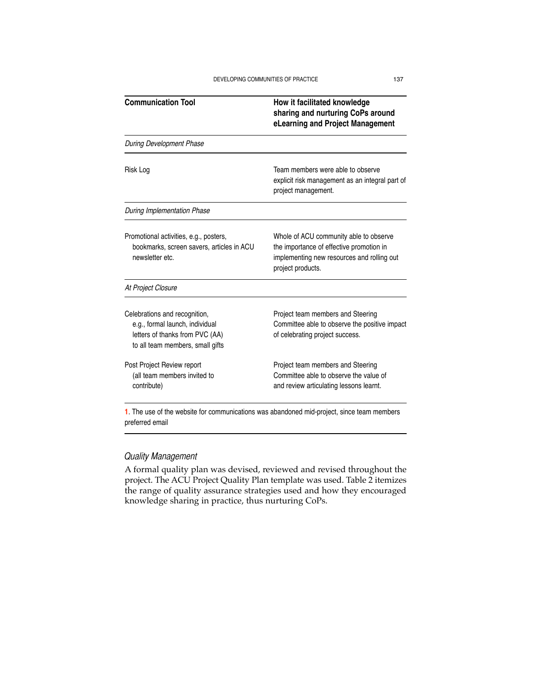| <b>Communication Tool</b>                                                                                                               | How it facilitated knowledge<br>sharing and nurturing CoPs around<br>eLearning and Project Management                                                 |
|-----------------------------------------------------------------------------------------------------------------------------------------|-------------------------------------------------------------------------------------------------------------------------------------------------------|
| During Development Phase                                                                                                                |                                                                                                                                                       |
| Risk Log                                                                                                                                | Team members were able to observe<br>explicit risk management as an integral part of<br>project management.                                           |
| <b>During Implementation Phase</b>                                                                                                      |                                                                                                                                                       |
| Promotional activities, e.g., posters,<br>bookmarks, screen savers, articles in ACU<br>newsletter etc.                                  | Whole of ACU community able to observe<br>the importance of effective promotion in<br>implementing new resources and rolling out<br>project products. |
| At Project Closure                                                                                                                      |                                                                                                                                                       |
| Celebrations and recognition,<br>e.g., formal launch, individual<br>letters of thanks from PVC (AA)<br>to all team members, small gifts | Project team members and Steering<br>Committee able to observe the positive impact<br>of celebrating project success.                                 |
| Post Project Review report<br>(all team members invited to<br>contribute)                                                               | Project team members and Steering<br>Committee able to observe the value of<br>and review articulating lessons learnt.                                |

**1**. The use of the website for communications was abandoned mid-project, since team members preferred email

# *Quality Management*

A formal quality plan was devised, reviewed and revised throughout the project. The ACU Project Quality Plan template was used. Table 2 itemizes the range of quality assurance strategies used and how they encouraged knowledge sharing in practice, thus nurturing CoPs.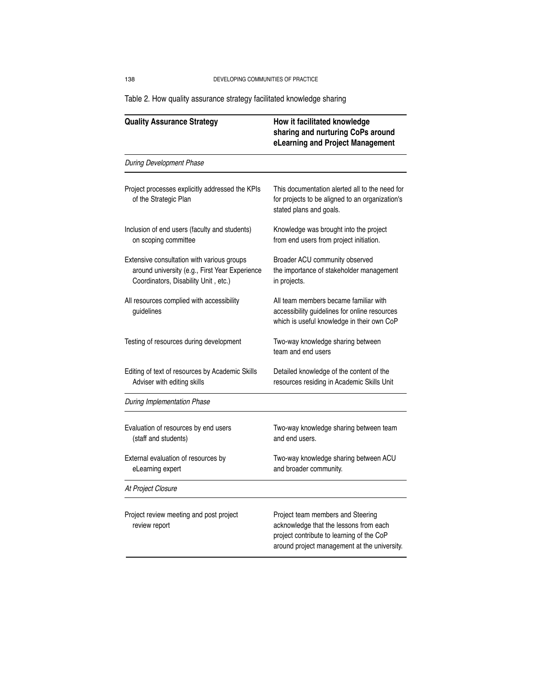138 DEVELOPING COMMUNITIES OF PRACTICE

**Quality Assurance Strategy How it facilitated knowledge sharing and nurturing CoPs around eLearning and Project Management** During Development Phase Project processes explicitly addressed the KPIs This documentation alerted all to the need for of the Strategic Plan for projects to be aligned to an organization's stated plans and goals. Inclusion of end users (faculty and students) Knowledge was brought into the project on scoping committee from end users from project initiation. Extensive consultation with various groups Broader ACU community observed around university (e.g., First Year Experience the importance of stakeholder management Coordinators, Disability Unit, etc.) in projects. All resources complied with accessibility **All team members became familiar with** guidelines accessibility guidelines for online resources which is useful knowledge in their own CoP Testing of resources during development Two-way knowledge sharing between team and end users Editing of text of resources by Academic Skills Detailed knowledge of the content of the Adviser with editing skills **resources residing in Academic Skills Unit** During Implementation Phase Evaluation of resources by end users Two-way knowledge sharing between team (staff and students) and end users. External evaluation of resources by Two-way knowledge sharing between ACU eLearning expert **and broader community**. At Project Closure Project review meeting and post project **Project team members and Steering** review report **acknowledge that the lessons from each** project contribute to learning of the CoP around project management at the university.

Table 2. How quality assurance strategy facilitated knowledge sharing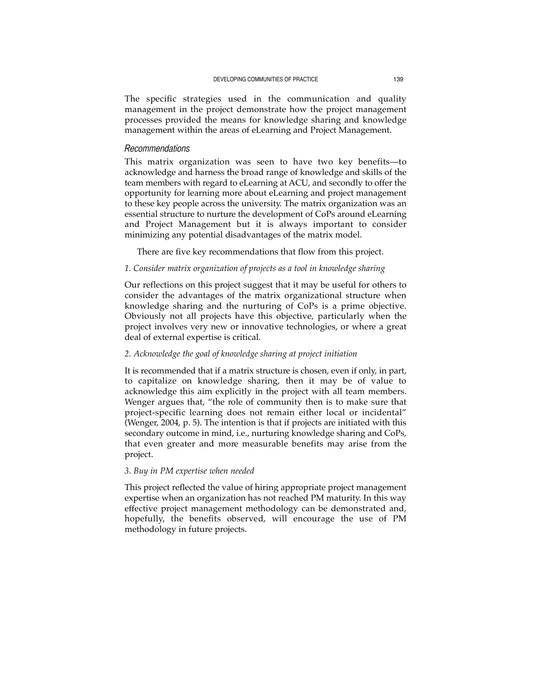The specific strategies used in the communication and quality management in the project demonstrate how the project management processes provided the means for knowledge sharing and knowledge management within the areas of eLearning and Project Management.

#### *Recommendations*

This matrix organization was seen to have two key benefits—to acknowledge and harness the broad range of knowledge and skills of the team members with regard to eLearning at ACU, and secondly to offer the opportunity for learning more about eLearning and project management to these key people across the university. The matrix organization was an essential structure to nurture the development of CoPs around eLearning and Project Management but it is always important to consider minimizing any potential disadvantages of the matrix model.

There are five key recommendations that flow from this project.

### *1. Consider matrix organization of projects as a tool in knowledge sharing*

Our reflections on this project suggest that it may be useful for others to consider the advantages of the matrix organizational structure when knowledge sharing and the nurturing of CoPs is a prime objective. Obviously not all projects have this objective, particularly when the project involves very new or innovative technologies, or where a great deal of external expertise is critical.

# *2. Acknowledge the goal of knowledge sharing at project initiation*

It is recommended that if a matrix structure is chosen, even if only, in part, to capitalize on knowledge sharing, then it may be of value to acknowledge this aim explicitly in the project with all team members. Wenger argues that, "the role of community then is to make sure that project-specific learning does not remain either local or incidental" (Wenger, 2004, p. 5). The intention is that if projects are initiated with this secondary outcome in mind, i.e., nurturing knowledge sharing and CoPs, that even greater and more measurable benefits may arise from the project.

### *3. Buy in PM expertise when needed*

This project reflected the value of hiring appropriate project management expertise when an organization has not reached PM maturity. In this way effective project management methodology can be demonstrated and, hopefully, the benefits observed, will encourage the use of PM methodology in future projects.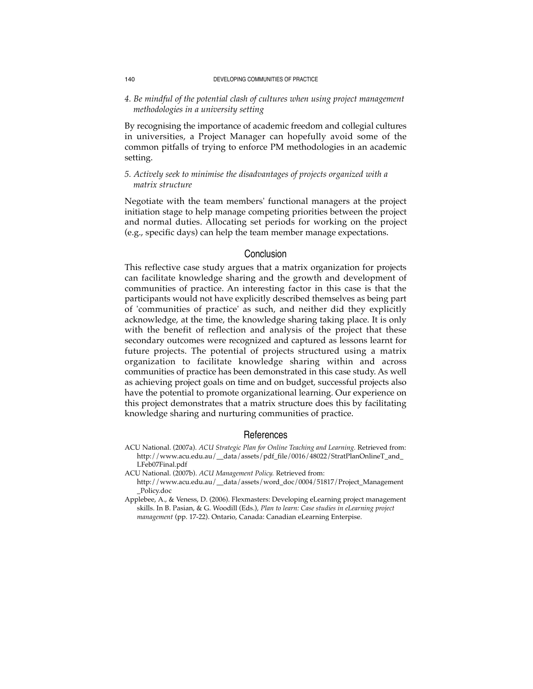#### 140 DEVELOPING COMMUNITIES OF PRACTICE

*4. Be mindful of the potential clash of cultures when using project management methodologies in a university setting* 

By recognising the importance of academic freedom and collegial cultures in universities, a Project Manager can hopefully avoid some of the common pitfalls of trying to enforce PM methodologies in an academic setting.

# *5. Actively seek to minimise the disadvantages of projects organized with a matrix structure*

Negotiate with the team members' functional managers at the project initiation stage to help manage competing priorities between the project and normal duties. Allocating set periods for working on the project (e.g., specific days) can help the team member manage expectations.

### Conclusion

This reflective case study argues that a matrix organization for projects can facilitate knowledge sharing and the growth and development of communities of practice. An interesting factor in this case is that the participants would not have explicitly described themselves as being part of 'communities of practice' as such, and neither did they explicitly acknowledge, at the time, the knowledge sharing taking place. It is only with the benefit of reflection and analysis of the project that these secondary outcomes were recognized and captured as lessons learnt for future projects. The potential of projects structured using a matrix organization to facilitate knowledge sharing within and across communities of practice has been demonstrated in this case study. As well as achieving project goals on time and on budget, successful projects also have the potential to promote organizational learning. Our experience on this project demonstrates that a matrix structure does this by facilitating knowledge sharing and nurturing communities of practice.

### **References**

ACU National. (2007a). *ACU Strategic Plan for Online Teaching and Learning.* Retrieved from: http://www.acu.edu.au/\_\_data/assets/pdf\_file/0016/48022/StratPlanOnlineT\_and\_ LFeb07Final.pdf

ACU National. (2007b). *ACU Management Policy.* Retrieved from:

http://www.acu.edu.au/\_\_data/assets/word\_doc/0004/51817/Project\_Management \_Policy.doc

Applebee, A., & Veness, D. (2006). Flexmasters: Developing eLearning project management skills. In B. Pasian, & G. Woodill (Eds.), *Plan to learn: Case studies in eLearning project management* (pp. 17-22). Ontario, Canada: Canadian eLearning Enterpise.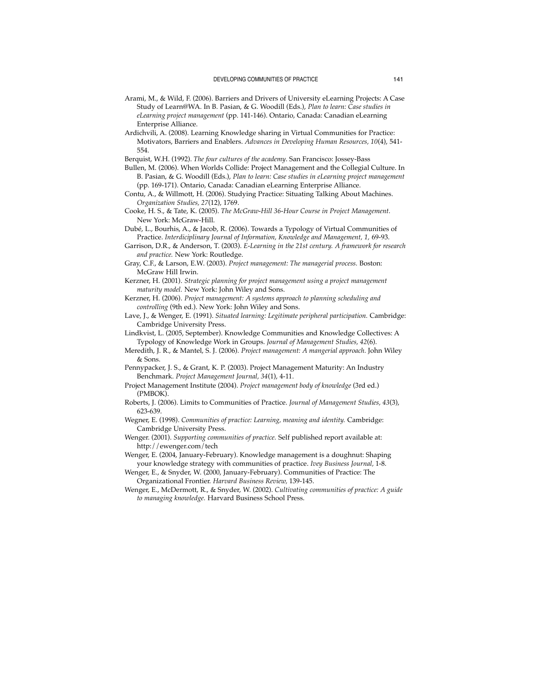- Arami, M., & Wild, F. (2006). Barriers and Drivers of University eLearning Projects: A Case Study of Learn@WA. In B. Pasian, & G. Woodill (Eds.), *Plan to learn: Case studies in eLearning project management* (pp. 141-146). Ontario, Canada: Canadian eLearning Enterprise Alliance.
- Ardichvili, A. (2008). Learning Knowledge sharing in Virtual Communities for Practice: Motivators, Barriers and Enablers. *Advances in Developing Human Resources, 10*(4), 541- 554.
- Berquist, W.H. (1992). *The four cultures of the academy*. San Francisco: Jossey-Bass
- Bullen, M. (2006). When Worlds Collide: Project Management and the Collegial Culture. In B. Pasian, & G. Woodill (Eds.), *Plan to learn: Case studies in eLearning project management* (pp. 169-171). Ontario, Canada: Canadian eLearning Enterprise Alliance.
- Contu, A., & Willmott, H. (2006). Studying Practice: Situating Talking About Machines. *Organization Studies, 27*(12), 1769.
- Cooke, H. S., & Tate, K. (2005). *The McGraw-Hill 36-Hour Course in Project Management.* New York: McGraw-Hill.
- Dubé, L., Bourhis, A., & Jacob, R. (2006). Towards a Typology of Virtual Communities of Practice. *Interdiciplinary Journal of Information, Knowledge and Management, 1,* 69-93.
- Garrison, D.R., & Anderson, T. (2003). *E-Learning in the 21st century. A framework for research and practice.* New York: Routledge.
- Gray, C.F., & Larson, E.W. (2003). *Project management: The managerial process.* Boston: McGraw Hill Irwin.
- Kerzner, H. (2001). *Strategic planning for project management using a project management maturity model.* New York: John Wiley and Sons.
- Kerzner, H. (2006). *Project management: A systems approach to planning scheduling and controlling* (9th ed.). New York: John Wiley and Sons.
- Lave, J., & Wenger, E. (1991). *Situated learning: Legitimate peripheral participation.* Cambridge: Cambridge University Press.

Lindkvist, L. (2005, September). Knowledge Communities and Knowledge Collectives: A Typology of Knowledge Work in Groups. *Journal of Management Studies, 42*(6).

- Meredith, J. R., & Mantel, S. J. (2006). *Project management: A mangerial approach.* John Wiley & Sons.
- Pennypacker, J. S., & Grant, K. P. (2003). Project Management Maturity: An Industry Benchmark. *Project Management Journal, 34*(1), 4-11.
- Project Management Institute (2004). *Project management body of knowledge* (3rd ed.) (PMBOK).
- Roberts, J. (2006). Limits to Communities of Practice. *Journal of Management Studies, 43*(3), 623-639.
- Wegner, E. (1998). *Communities of practice: Learning, meaning and identity.* Cambridge: Cambridge University Press.

Wenger. (2001). *Supporting communities of practice.* Self published report available at: http://ewenger.com/tech

Wenger, E. (2004, January-February). Knowledge management is a doughnut: Shaping your knowledge strategy with communities of practice. *Ivey Business Journal,* 1-8.

Wenger, E., & Snyder, W. (2000, January-February). Communities of Practice: The Organizational Frontier. *Harvard Business Review,* 139-145.

Wenger, E., McDermott, R., & Snyder, W. (2002). *Cultivating communities of practice: A guide to managing knowledge.* Harvard Business School Press.